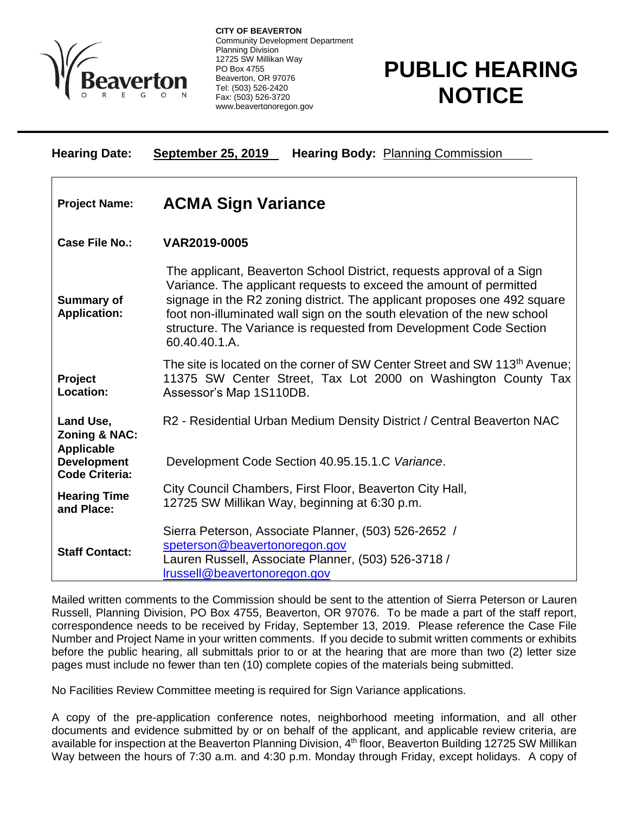

 $\overline{a}$ 

**CITY OF BEAVERTON** Community Development Department Planning Division 12725 SW Millikan Way PO Box 4755 Beaverton, OR 97076 Tel: (503) 526-2420 Fax: (503) 526-3720 www.beavertonoregon.gov

## **PUBLIC HEARING NOTICE**

| <b>Hearing Date:</b>                                       | <b>September 25, 2019</b><br><b>Hearing Body: Planning Commission</b>                                                                                                                                                                                                                                                                                                                     |
|------------------------------------------------------------|-------------------------------------------------------------------------------------------------------------------------------------------------------------------------------------------------------------------------------------------------------------------------------------------------------------------------------------------------------------------------------------------|
| <b>Project Name:</b>                                       | <b>ACMA Sign Variance</b>                                                                                                                                                                                                                                                                                                                                                                 |
| <b>Case File No.:</b>                                      | VAR2019-0005                                                                                                                                                                                                                                                                                                                                                                              |
| <b>Summary of</b><br><b>Application:</b>                   | The applicant, Beaverton School District, requests approval of a Sign<br>Variance. The applicant requests to exceed the amount of permitted<br>signage in the R2 zoning district. The applicant proposes one 492 square<br>foot non-illuminated wall sign on the south elevation of the new school<br>structure. The Variance is requested from Development Code Section<br>60.40.40.1.A. |
| Project<br>Location:                                       | The site is located on the corner of SW Center Street and SW 113 <sup>th</sup> Avenue;<br>11375 SW Center Street, Tax Lot 2000 on Washington County Tax<br>Assessor's Map 1S110DB.                                                                                                                                                                                                        |
| Land Use.<br><b>Zoning &amp; NAC:</b><br><b>Applicable</b> | R2 - Residential Urban Medium Density District / Central Beaverton NAC                                                                                                                                                                                                                                                                                                                    |
| <b>Development</b><br><b>Code Criteria:</b>                | Development Code Section 40.95.15.1.C Variance.                                                                                                                                                                                                                                                                                                                                           |
| <b>Hearing Time</b><br>and Place:                          | City Council Chambers, First Floor, Beaverton City Hall,<br>12725 SW Millikan Way, beginning at 6:30 p.m.                                                                                                                                                                                                                                                                                 |
| <b>Staff Contact:</b>                                      | Sierra Peterson, Associate Planner, (503) 526-2652 /<br>speterson@beavertonoregon.gov<br>Lauren Russell, Associate Planner, (503) 526-3718 /<br>Irussell@beavertonoregon.gov                                                                                                                                                                                                              |

Mailed written comments to the Commission should be sent to the attention of Sierra Peterson or Lauren Russell, Planning Division, PO Box 4755, Beaverton, OR 97076. To be made a part of the staff report, correspondence needs to be received by Friday, September 13, 2019. Please reference the Case File Number and Project Name in your written comments. If you decide to submit written comments or exhibits before the public hearing, all submittals prior to or at the hearing that are more than two (2) letter size pages must include no fewer than ten (10) complete copies of the materials being submitted.

No Facilities Review Committee meeting is required for Sign Variance applications.

A copy of the pre-application conference notes, neighborhood meeting information, and all other documents and evidence submitted by or on behalf of the applicant, and applicable review criteria, are available for inspection at the Beaverton Planning Division, 4<sup>th</sup> floor, Beaverton Building 12725 SW Millikan Way between the hours of 7:30 a.m. and 4:30 p.m. Monday through Friday, except holidays. A copy of